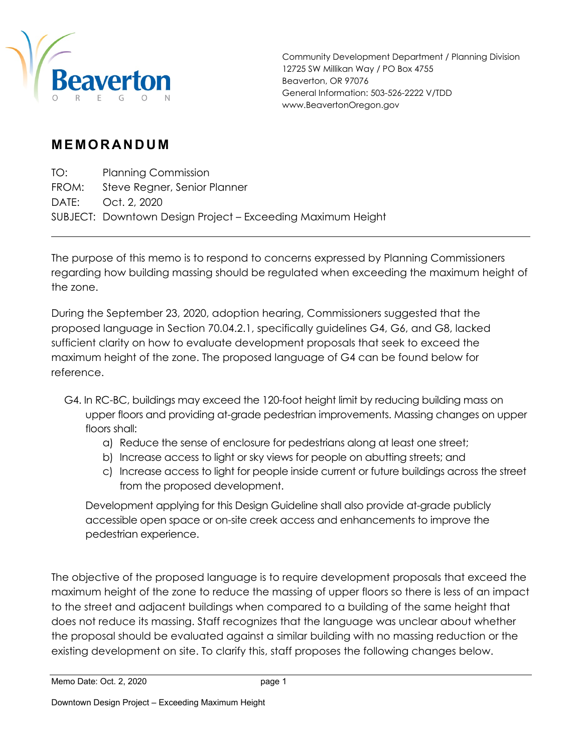

Community Development Department / Planning Division 12725 SW Millikan Way / PO Box 4755 Beaverton, OR 97076 General Information: 503-526-2222 V/TDD www.BeavertonOregon.gov

## **MEMORANDUM**

TO: Planning Commission FROM: Steve Regner, Senior Planner DATE: Oct. 2, 2020 SUBJECT: Downtown Design Project – Exceeding Maximum Height

The purpose of this memo is to respond to concerns expressed by Planning Commissioners regarding how building massing should be regulated when exceeding the maximum height of the zone.

During the September 23, 2020, adoption hearing, Commissioners suggested that the proposed language in Section 70.04.2.1, specifically guidelines G4, G6, and G8, lacked sufficient clarity on how to evaluate development proposals that seek to exceed the maximum height of the zone. The proposed language of G4 can be found below for reference.

- G4. In RC-BC, buildings may exceed the 120-foot height limit by reducing building mass on upper floors and providing at-grade pedestrian improvements. Massing changes on upper floors shall:
	- a) Reduce the sense of enclosure for pedestrians along at least one street;
	- b) Increase access to light or sky views for people on abutting streets; and
	- c) Increase access to light for people inside current or future buildings across the street from the proposed development.

Development applying for this Design Guideline shall also provide at-grade publicly accessible open space or on-site creek access and enhancements to improve the pedestrian experience.

The objective of the proposed language is to require development proposals that exceed the maximum height of the zone to reduce the massing of upper floors so there is less of an impact to the street and adjacent buildings when compared to a building of the same height that does not reduce its massing. Staff recognizes that the language was unclear about whether the proposal should be evaluated against a similar building with no massing reduction or the existing development on site. To clarify this, staff proposes the following changes below.